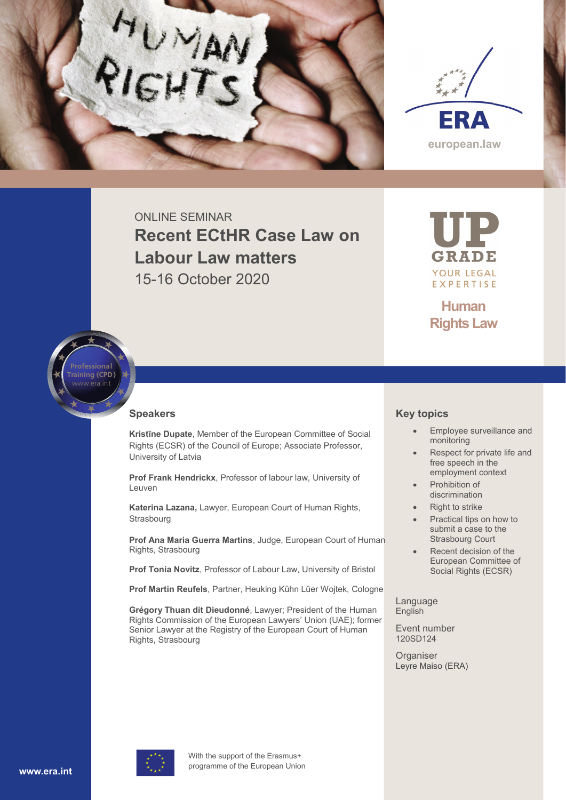



ONLINE SEMINAR **Recent ECtHR Case Law on Labour Law matters** 15-16 October 2020

GRADE YOUR LEGAL EXPERTISE

**Human Rights Law**



## **Speakers**

**Kristīne Dupate**, Member of the European Committee of Social Rights (ECSR) of the Council of Europe; Associate Professor, University of Latvia

**Prof Frank Hendrickx**, Professor of labour law, University of Leuven

**Katerina Lazana,** Lawyer, European Court of Human Rights, **Strasbourg** 

**Prof Ana Maria Guerra Martins**, Judge, European Court of Human Rights, Strasbourg

**Prof Tonia Novitz**, Professor of Labour Law, University of Bristol

**Prof Martin Reufels**, Partner, Heuking Kühn Lüer Wojtek, Cologne

**Grégory Thuan dit Dieudonné**, Lawyer; President of the Human Rights Commission of the European Lawyers' Union (UAE); former Senior Lawyer at the Registry of the European Court of Human Rights, Strasbourg

## **Key topics**

- Employee surveillance and monitoring
- Respect for private life and free speech in the employment context
- Prohibition of discrimination
- **Right to strike**
- Practical tips on how to submit a case to the Strasbourg Court
- Recent decision of the European Committee of Social Rights (ECSR)

Language English

Event number 120SD124

**Organiser** Leyre Maiso (ERA)



With the support of the Erasmus+ programme of the European Union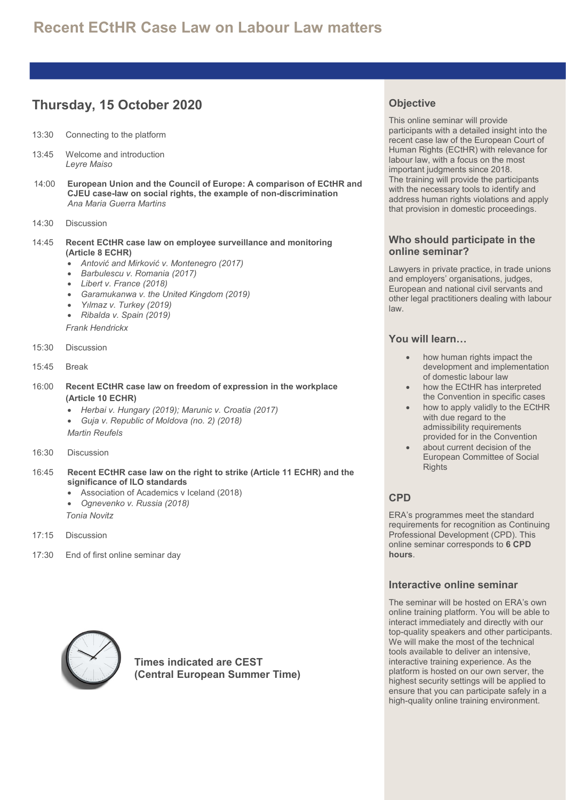# **Recent ECtHR Case Law on Labour Law matters**

## **Thursday, 15 October 2020**

- 13:45 Welcome and introduction *Leyre Maiso*
- 14:00 **European Union and the Council of Europe: A comparison of ECtHR and CJEU case-law on social rights, the example of non-discrimination**  *Ana Maria Guerra Martins*
- 14:30 Discussion
- 14:45 **Recent ECtHR case law on employee surveillance and monitoring (Article 8 ECHR)**
	- *Antović and Mirković v. Montenegro (2017)*
	- *Barbulescu v. Romania (2017)*
	- *Libert v. France (2018)*
	- *Garamukanwa v. the United Kingdom (2019)*
	- *Yılmaz v. Turkey (2019)*
	- *Ribalda v. Spain (2019)*
	- *Frank Hendrickx*
- 15:30 Discussion
- 15:45 Break
- 16:00 **Recent ECtHR case law on freedom of expression in the workplace (Article 10 ECHR)**
	- *Herbai v. Hungary (2019); Marunic v. Croatia (2017)*
	- *Guja v. Republic of Moldova (no. 2) (2018)*
	- *Martin Reufels*
- 16:30 Discussion
- 16:45 **Recent ECtHR case law on the right to strike (Article 11 ECHR) and the significance of ILO standards**
	- Association of Academics v Iceland (2018)
	- *Ognevenko v. Russia (2018)*

*Tonia Novitz*

- 17:15 Discussion
- 17:30 End of first online seminar day



**Times indicated are CEST (Central European Summer Time)**

## **Objective**

This online seminar will provide participants with a detailed insight into the recent case law of the European Court of Human Rights (ECtHR) with relevance for labour law, with a focus on the most important judgments since 2018. The training will provide the participants with the necessary tools to identify and address human rights violations and apply that provision in domestic proceedings.

## **Who should participate in the online seminar?**

Lawyers in private practice, in trade unions and employers' organisations, judges, European and national civil servants and other legal practitioners dealing with labour law.

### **You will learn…**

- how human rights impact the development and implementation of domestic labour law
- how the ECtHR has interpreted the Convention in specific cases
- how to apply validly to the ECtHR with due regard to the admissibility requirements provided for in the Convention
- about current decision of the European Committee of Social **Rights**

## **CPD**

ERA's programmes meet the standard requirements for recognition as Continuing Professional Development (CPD). This online seminar corresponds to **6 CPD hours**.

### **Interactive online seminar**

The seminar will be hosted on ERA's own online training platform. You will be able to interact immediately and directly with our top-quality speakers and other participants. We will make the most of the technical tools available to deliver an intensive, interactive training experience. As the platform is hosted on our own server, the highest security settings will be applied to ensure that you can participate safely in a high-quality online training environment.